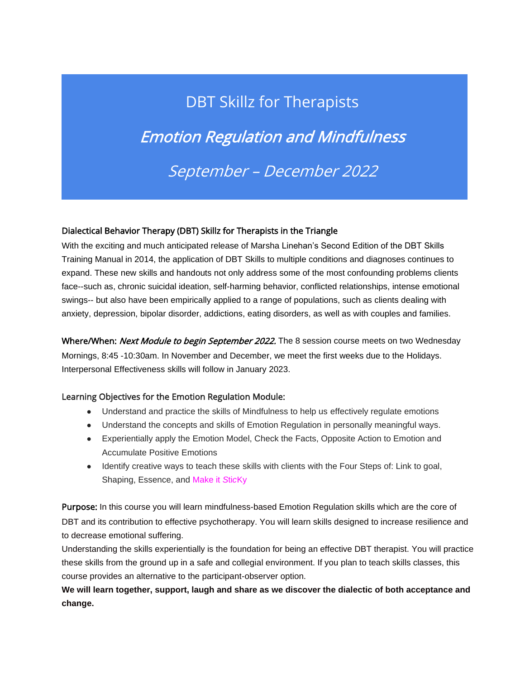## DBT Skillz for Therapists Emotion Regulation and Mindfulness September – December 2022

## Dialectical Behavior Therapy (DBT) Skillz for Therapists in the Triangle

With the exciting and much anticipated release of Marsha Linehan's Second Edition of the DBT Skills Training Manual in 2014, the application of DBT Skills to multiple conditions and diagnoses continues to expand. These new skills and handouts not only address some of the most confounding problems clients face--such as, chronic suicidal ideation, self-harming behavior, conflicted relationships, intense emotional swings-- but also have been empirically applied to a range of populations, such as clients dealing with anxiety, depression, bipolar disorder, addictions, eating disorders, as well as with couples and families.

Where/When: Next Module to begin September 2022. The 8 session course meets on two Wednesday Mornings, 8:45 -10:30am. In November and December, we meet the first weeks due to the Holidays. Interpersonal Effectiveness skills will follow in January 2023.

## Learning Objectives for the Emotion Regulation Module:

- Understand and practice the skills of Mindfulness to help us effectively regulate emotions
- Understand the concepts and skills of Emotion Regulation in personally meaningful ways.
- Experientially apply the Emotion Model, Check the Facts, Opposite Action to Emotion and Accumulate Positive Emotions
- Identify creative ways to teach these skills with clients with the Four Steps of: Link to goal, Shaping, Essence, and Make it *S*ti*c*Ky

Purpose: In this course you will learn mindfulness-based Emotion Regulation skills which are the core of DBT and its contribution to effective psychotherapy. You will learn skills designed to increase resilience and to decrease emotional suffering.

Understanding the skills experientially is the foundation for being an effective DBT therapist. You will practice these skills from the ground up in a safe and collegial environment. If you plan to teach skills classes, this course provides an alternative to the participant-observer option.

**We will learn together, support, laugh and share as we discover the dialectic of both acceptance and change.**